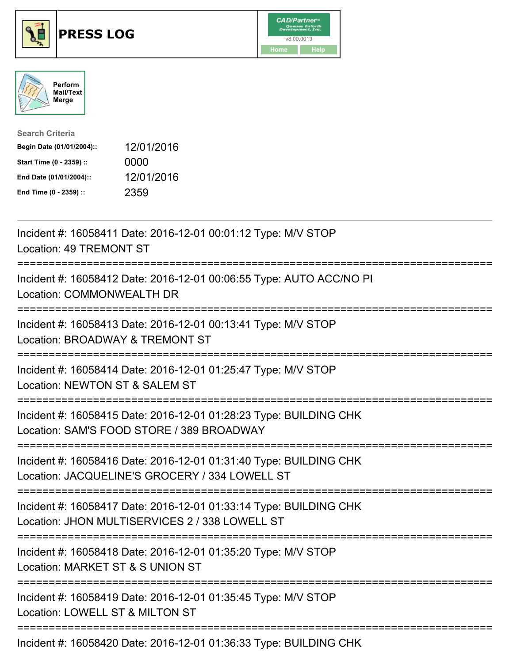





| <b>Search Criteria</b>    |            |
|---------------------------|------------|
| Begin Date (01/01/2004):: | 12/01/2016 |
| Start Time (0 - 2359) ::  | 0000       |
| End Date (01/01/2004)::   | 12/01/2016 |
| End Time (0 - 2359) ::    | 2359       |

| Incident #: 16058411 Date: 2016-12-01 00:01:12 Type: M/V STOP<br>Location: 49 TREMONT ST                                                                 |
|----------------------------------------------------------------------------------------------------------------------------------------------------------|
| Incident #: 16058412 Date: 2016-12-01 00:06:55 Type: AUTO ACC/NO PI<br>Location: COMMONWEALTH DR                                                         |
| Incident #: 16058413 Date: 2016-12-01 00:13:41 Type: M/V STOP<br>Location: BROADWAY & TREMONT ST                                                         |
| Incident #: 16058414 Date: 2016-12-01 01:25:47 Type: M/V STOP<br>Location: NEWTON ST & SALEM ST                                                          |
| Incident #: 16058415 Date: 2016-12-01 01:28:23 Type: BUILDING CHK<br>Location: SAM'S FOOD STORE / 389 BROADWAY<br>=============================          |
| Incident #: 16058416 Date: 2016-12-01 01:31:40 Type: BUILDING CHK<br>Location: JACQUELINE'S GROCERY / 334 LOWELL ST<br>================================= |
| Incident #: 16058417 Date: 2016-12-01 01:33:14 Type: BUILDING CHK<br>Location: JHON MULTISERVICES 2 / 338 LOWELL ST                                      |
| Incident #: 16058418 Date: 2016-12-01 01:35:20 Type: M/V STOP<br>Location: MARKET ST & S UNION ST<br>==========================                          |
| Incident #: 16058419 Date: 2016-12-01 01:35:45 Type: M/V STOP<br>Location: LOWELL ST & MILTON ST                                                         |
| Incident #: 16058420 Date: 2016-12-01 01:36:33 Type: BUILDING CHK                                                                                        |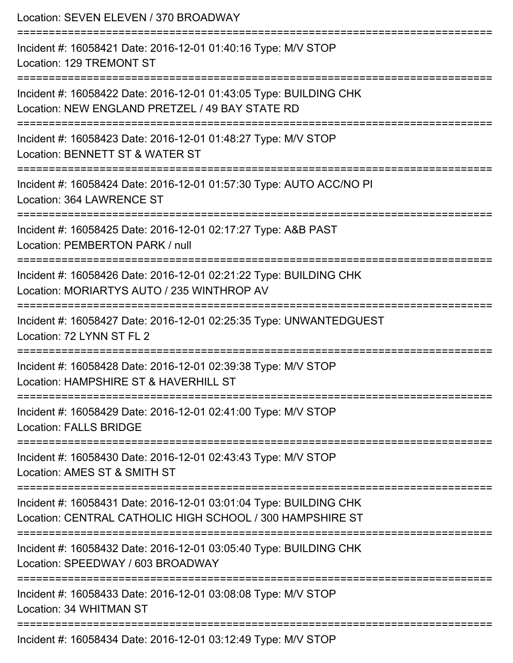| Location: SEVEN ELEVEN / 370 BROADWAY                                                                                                                 |
|-------------------------------------------------------------------------------------------------------------------------------------------------------|
| Incident #: 16058421 Date: 2016-12-01 01:40:16 Type: M/V STOP<br>Location: 129 TREMONT ST                                                             |
| Incident #: 16058422 Date: 2016-12-01 01:43:05 Type: BUILDING CHK<br>Location: NEW ENGLAND PRETZEL / 49 BAY STATE RD<br>============================= |
| Incident #: 16058423 Date: 2016-12-01 01:48:27 Type: M/V STOP<br>Location: BENNETT ST & WATER ST                                                      |
| Incident #: 16058424 Date: 2016-12-01 01:57:30 Type: AUTO ACC/NO PI<br>Location: 364 LAWRENCE ST                                                      |
| Incident #: 16058425 Date: 2016-12-01 02:17:27 Type: A&B PAST<br>Location: PEMBERTON PARK / null                                                      |
| Incident #: 16058426 Date: 2016-12-01 02:21:22 Type: BUILDING CHK<br>Location: MORIARTYS AUTO / 235 WINTHROP AV                                       |
| Incident #: 16058427 Date: 2016-12-01 02:25:35 Type: UNWANTEDGUEST<br>Location: 72 LYNN ST FL 2                                                       |
| Incident #: 16058428 Date: 2016-12-01 02:39:38 Type: M/V STOP<br>Location: HAMPSHIRE ST & HAVERHILL ST                                                |
| Incident #: 16058429 Date: 2016-12-01 02:41:00 Type: M/V STOP<br><b>Location: FALLS BRIDGE</b>                                                        |
| Incident #: 16058430 Date: 2016-12-01 02:43:43 Type: M/V STOP<br>Location: AMES ST & SMITH ST                                                         |
| Incident #: 16058431 Date: 2016-12-01 03:01:04 Type: BUILDING CHK<br>Location: CENTRAL CATHOLIC HIGH SCHOOL / 300 HAMPSHIRE ST                        |
| Incident #: 16058432 Date: 2016-12-01 03:05:40 Type: BUILDING CHK<br>Location: SPEEDWAY / 603 BROADWAY                                                |
| Incident #: 16058433 Date: 2016-12-01 03:08:08 Type: M/V STOP<br>Location: 34 WHITMAN ST                                                              |
| Incident #: 16058434 Date: 2016-12-01 03:12:49 Type: M/V STOP                                                                                         |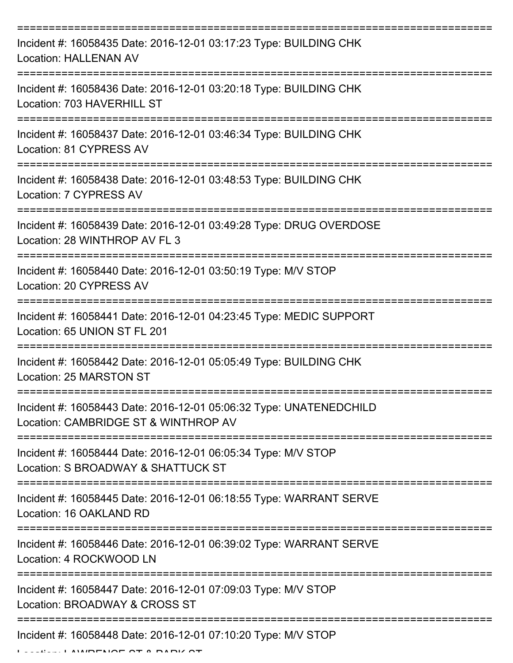| Incident #: 16058435 Date: 2016-12-01 03:17:23 Type: BUILDING CHK<br><b>Location: HALLENAN AV</b>          |
|------------------------------------------------------------------------------------------------------------|
| Incident #: 16058436 Date: 2016-12-01 03:20:18 Type: BUILDING CHK<br>Location: 703 HAVERHILL ST            |
| Incident #: 16058437 Date: 2016-12-01 03:46:34 Type: BUILDING CHK<br>Location: 81 CYPRESS AV               |
| Incident #: 16058438 Date: 2016-12-01 03:48:53 Type: BUILDING CHK<br>Location: 7 CYPRESS AV                |
| Incident #: 16058439 Date: 2016-12-01 03:49:28 Type: DRUG OVERDOSE<br>Location: 28 WINTHROP AV FL 3        |
| Incident #: 16058440 Date: 2016-12-01 03:50:19 Type: M/V STOP<br>Location: 20 CYPRESS AV                   |
| Incident #: 16058441 Date: 2016-12-01 04:23:45 Type: MEDIC SUPPORT<br>Location: 65 UNION ST FL 201         |
| Incident #: 16058442 Date: 2016-12-01 05:05:49 Type: BUILDING CHK<br>Location: 25 MARSTON ST               |
| Incident #: 16058443 Date: 2016-12-01 05:06:32 Type: UNATENEDCHILD<br>Location: CAMBRIDGE ST & WINTHROP AV |
| Incident #: 16058444 Date: 2016-12-01 06:05:34 Type: M/V STOP<br>Location: S BROADWAY & SHATTUCK ST        |
| Incident #: 16058445 Date: 2016-12-01 06:18:55 Type: WARRANT SERVE<br>Location: 16 OAKLAND RD              |
| Incident #: 16058446 Date: 2016-12-01 06:39:02 Type: WARRANT SERVE<br>Location: 4 ROCKWOOD LN              |
| Incident #: 16058447 Date: 2016-12-01 07:09:03 Type: M/V STOP<br>Location: BROADWAY & CROSS ST             |
| Incident #: 16058448 Date: 2016-12-01 07:10:20 Type: M/V STOP                                              |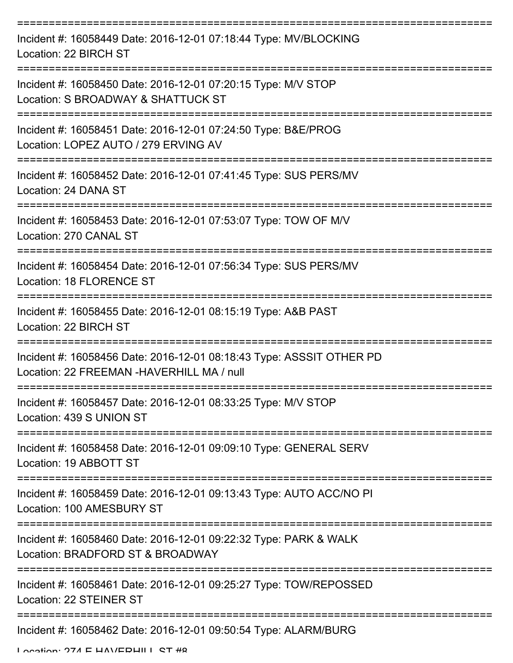| Incident #: 16058449 Date: 2016-12-01 07:18:44 Type: MV/BLOCKING<br>Location: 22 BIRCH ST                          |
|--------------------------------------------------------------------------------------------------------------------|
| Incident #: 16058450 Date: 2016-12-01 07:20:15 Type: M/V STOP<br>Location: S BROADWAY & SHATTUCK ST                |
| Incident #: 16058451 Date: 2016-12-01 07:24:50 Type: B&E/PROG<br>Location: LOPEZ AUTO / 279 ERVING AV              |
| Incident #: 16058452 Date: 2016-12-01 07:41:45 Type: SUS PERS/MV<br>Location: 24 DANA ST                           |
| Incident #: 16058453 Date: 2016-12-01 07:53:07 Type: TOW OF M/V<br>Location: 270 CANAL ST                          |
| Incident #: 16058454 Date: 2016-12-01 07:56:34 Type: SUS PERS/MV<br>Location: 18 FLORENCE ST                       |
| Incident #: 16058455 Date: 2016-12-01 08:15:19 Type: A&B PAST<br>Location: 22 BIRCH ST                             |
| Incident #: 16058456 Date: 2016-12-01 08:18:43 Type: ASSSIT OTHER PD<br>Location: 22 FREEMAN - HAVERHILL MA / null |
| Incident #: 16058457 Date: 2016-12-01 08:33:25 Type: M/V STOP<br>Location: 439 S UNION ST                          |
| Incident #: 16058458 Date: 2016-12-01 09:09:10 Type: GENERAL SERV<br>Location: 19 ABBOTT ST                        |
| Incident #: 16058459 Date: 2016-12-01 09:13:43 Type: AUTO ACC/NO PI<br>Location: 100 AMESBURY ST                   |
| Incident #: 16058460 Date: 2016-12-01 09:22:32 Type: PARK & WALK<br>Location: BRADFORD ST & BROADWAY               |
| Incident #: 16058461 Date: 2016-12-01 09:25:27 Type: TOW/REPOSSED<br>Location: 22 STEINER ST                       |
| Incident #: 16058462 Date: 2016-12-01 09:50:54 Type: ALARM/BURG                                                    |

Location: 274 E HAVEDHILL ST #8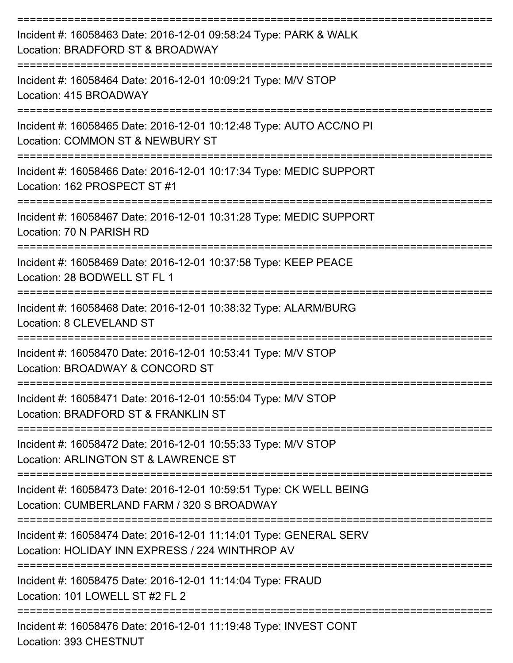| Incident #: 16058463 Date: 2016-12-01 09:58:24 Type: PARK & WALK<br>Location: BRADFORD ST & BROADWAY                 |
|----------------------------------------------------------------------------------------------------------------------|
| Incident #: 16058464 Date: 2016-12-01 10:09:21 Type: M/V STOP<br>Location: 415 BROADWAY                              |
| Incident #: 16058465 Date: 2016-12-01 10:12:48 Type: AUTO ACC/NO PI<br>Location: COMMON ST & NEWBURY ST              |
| Incident #: 16058466 Date: 2016-12-01 10:17:34 Type: MEDIC SUPPORT<br>Location: 162 PROSPECT ST #1                   |
| Incident #: 16058467 Date: 2016-12-01 10:31:28 Type: MEDIC SUPPORT<br>Location: 70 N PARISH RD                       |
| Incident #: 16058469 Date: 2016-12-01 10:37:58 Type: KEEP PEACE<br>Location: 28 BODWELL ST FL 1                      |
| Incident #: 16058468 Date: 2016-12-01 10:38:32 Type: ALARM/BURG<br>Location: 8 CLEVELAND ST                          |
| Incident #: 16058470 Date: 2016-12-01 10:53:41 Type: M/V STOP<br>Location: BROADWAY & CONCORD ST                     |
| Incident #: 16058471 Date: 2016-12-01 10:55:04 Type: M/V STOP<br>Location: BRADFORD ST & FRANKLIN ST                 |
| Incident #: 16058472 Date: 2016-12-01 10:55:33 Type: M/V STOP<br>Location: ARLINGTON ST & LAWRENCE ST                |
| Incident #: 16058473 Date: 2016-12-01 10:59:51 Type: CK WELL BEING<br>Location: CUMBERLAND FARM / 320 S BROADWAY     |
| Incident #: 16058474 Date: 2016-12-01 11:14:01 Type: GENERAL SERV<br>Location: HOLIDAY INN EXPRESS / 224 WINTHROP AV |
| Incident #: 16058475 Date: 2016-12-01 11:14:04 Type: FRAUD<br>Location: 101 LOWELL ST #2 FL 2                        |
| Incident #: 16058476 Date: 2016-12-01 11:19:48 Type: INVEST CONT<br>Location: 393 CHESTNUT                           |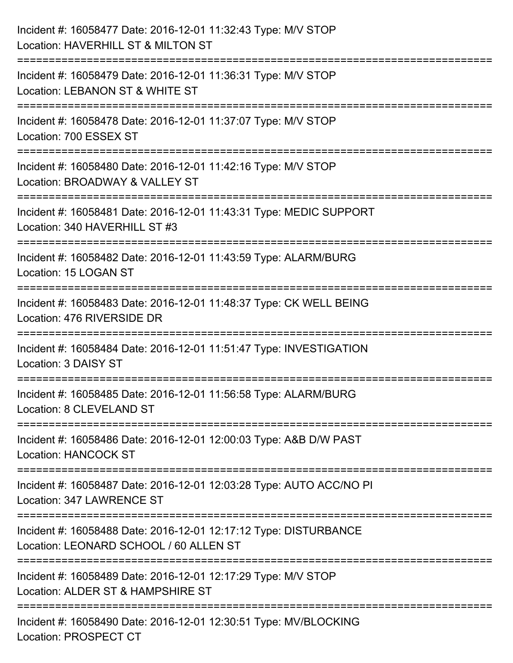| Incident #: 16058477 Date: 2016-12-01 11:32:43 Type: M/V STOP<br>Location: HAVERHILL ST & MILTON ST                                   |
|---------------------------------------------------------------------------------------------------------------------------------------|
| ;======================<br>Incident #: 16058479 Date: 2016-12-01 11:36:31 Type: M/V STOP<br>Location: LEBANON ST & WHITE ST           |
| Incident #: 16058478 Date: 2016-12-01 11:37:07 Type: M/V STOP<br>Location: 700 ESSEX ST                                               |
| Incident #: 16058480 Date: 2016-12-01 11:42:16 Type: M/V STOP<br>Location: BROADWAY & VALLEY ST                                       |
| Incident #: 16058481 Date: 2016-12-01 11:43:31 Type: MEDIC SUPPORT<br>Location: 340 HAVERHILL ST #3                                   |
| Incident #: 16058482 Date: 2016-12-01 11:43:59 Type: ALARM/BURG<br>Location: 15 LOGAN ST                                              |
| Incident #: 16058483 Date: 2016-12-01 11:48:37 Type: CK WELL BEING<br>Location: 476 RIVERSIDE DR<br>==============================    |
| Incident #: 16058484 Date: 2016-12-01 11:51:47 Type: INVESTIGATION<br>Location: 3 DAISY ST                                            |
| Incident #: 16058485 Date: 2016-12-01 11:56:58 Type: ALARM/BURG<br>Location: 8 CLEVELAND ST                                           |
| Incident #: 16058486 Date: 2016-12-01 12:00:03 Type: A&B D/W PAST<br><b>Location: HANCOCK ST</b>                                      |
| ---------------------------------<br>Incident #: 16058487 Date: 2016-12-01 12:03:28 Type: AUTO ACC/NO PI<br>Location: 347 LAWRENCE ST |
| Incident #: 16058488 Date: 2016-12-01 12:17:12 Type: DISTURBANCE<br>Location: LEONARD SCHOOL / 60 ALLEN ST                            |
| Incident #: 16058489 Date: 2016-12-01 12:17:29 Type: M/V STOP<br>Location: ALDER ST & HAMPSHIRE ST                                    |
| Incident #: 16058490 Date: 2016-12-01 12:30:51 Type: MV/BLOCKING<br>Location: PROSPECT CT                                             |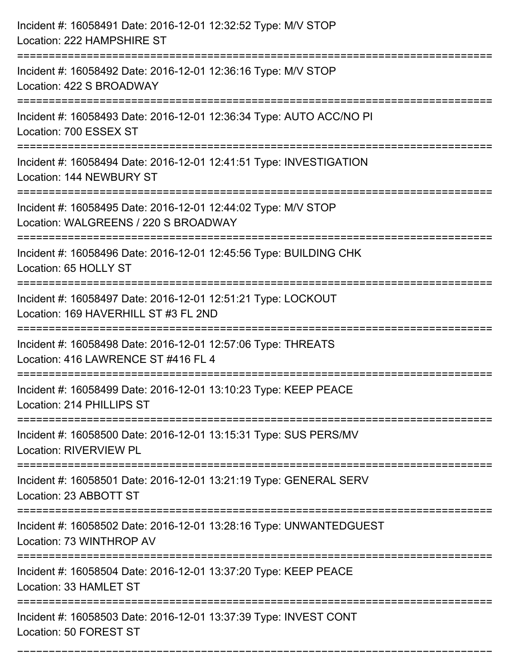| Incident #: 16058491 Date: 2016-12-01 12:32:52 Type: M/V STOP<br>Location: 222 HAMPSHIRE ST                                       |
|-----------------------------------------------------------------------------------------------------------------------------------|
| Incident #: 16058492 Date: 2016-12-01 12:36:16 Type: M/V STOP<br>Location: 422 S BROADWAY                                         |
| Incident #: 16058493 Date: 2016-12-01 12:36:34 Type: AUTO ACC/NO PI<br>Location: 700 ESSEX ST<br>====================             |
| Incident #: 16058494 Date: 2016-12-01 12:41:51 Type: INVESTIGATION<br>Location: 144 NEWBURY ST                                    |
| Incident #: 16058495 Date: 2016-12-01 12:44:02 Type: M/V STOP<br>Location: WALGREENS / 220 S BROADWAY<br>:======================= |
| Incident #: 16058496 Date: 2016-12-01 12:45:56 Type: BUILDING CHK<br>Location: 65 HOLLY ST                                        |
| Incident #: 16058497 Date: 2016-12-01 12:51:21 Type: LOCKOUT<br>Location: 169 HAVERHILL ST #3 FL 2ND                              |
| Incident #: 16058498 Date: 2016-12-01 12:57:06 Type: THREATS<br>Location: 416 LAWRENCE ST #416 FL 4                               |
| Incident #: 16058499 Date: 2016-12-01 13:10:23 Type: KEEP PEACE<br>Location: 214 PHILLIPS ST                                      |
| Incident #: 16058500 Date: 2016-12-01 13:15:31 Type: SUS PERS/MV<br><b>Location: RIVERVIEW PL</b>                                 |
| Incident #: 16058501 Date: 2016-12-01 13:21:19 Type: GENERAL SERV<br>Location: 23 ABBOTT ST                                       |
| Incident #: 16058502 Date: 2016-12-01 13:28:16 Type: UNWANTEDGUEST<br>Location: 73 WINTHROP AV                                    |
| ===============================<br>Incident #: 16058504 Date: 2016-12-01 13:37:20 Type: KEEP PEACE<br>Location: 33 HAMLET ST      |
| Incident #: 16058503 Date: 2016-12-01 13:37:39 Type: INVEST CONT<br>Location: 50 FOREST ST                                        |

===========================================================================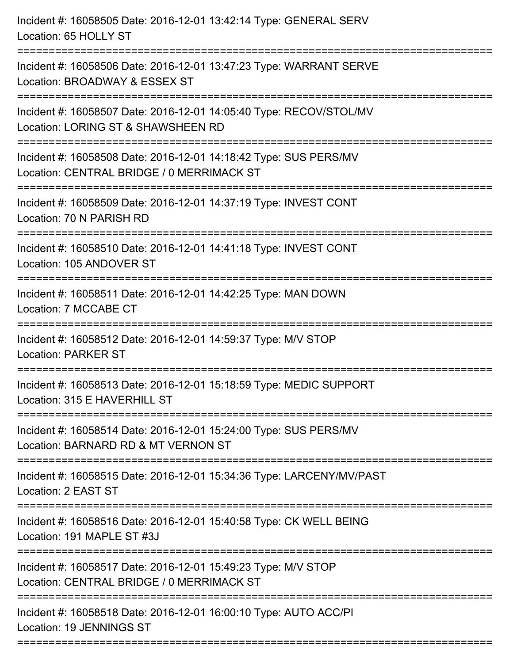| Incident #: 16058505 Date: 2016-12-01 13:42:14 Type: GENERAL SERV<br>Location: 65 HOLLY ST                                                                              |
|-------------------------------------------------------------------------------------------------------------------------------------------------------------------------|
| :=====================================<br>Incident #: 16058506 Date: 2016-12-01 13:47:23 Type: WARRANT SERVE<br>Location: BROADWAY & ESSEX ST<br>---------------------- |
| Incident #: 16058507 Date: 2016-12-01 14:05:40 Type: RECOV/STOL/MV<br>Location: LORING ST & SHAWSHEEN RD                                                                |
| Incident #: 16058508 Date: 2016-12-01 14:18:42 Type: SUS PERS/MV<br>Location: CENTRAL BRIDGE / 0 MERRIMACK ST<br>:===========================                           |
| Incident #: 16058509 Date: 2016-12-01 14:37:19 Type: INVEST CONT<br>Location: 70 N PARISH RD                                                                            |
| Incident #: 16058510 Date: 2016-12-01 14:41:18 Type: INVEST CONT<br>Location: 105 ANDOVER ST                                                                            |
| Incident #: 16058511 Date: 2016-12-01 14:42:25 Type: MAN DOWN<br>Location: 7 MCCABE CT                                                                                  |
| Incident #: 16058512 Date: 2016-12-01 14:59:37 Type: M/V STOP<br><b>Location: PARKER ST</b>                                                                             |
| Incident #: 16058513 Date: 2016-12-01 15:18:59 Type: MEDIC SUPPORT<br>Location: 315 E HAVERHILL ST                                                                      |
| Incident #: 16058514 Date: 2016-12-01 15:24:00 Type: SUS PERS/MV<br>Location: BARNARD RD & MT VERNON ST                                                                 |
| Incident #: 16058515 Date: 2016-12-01 15:34:36 Type: LARCENY/MV/PAST<br>Location: 2 EAST ST                                                                             |
| Incident #: 16058516 Date: 2016-12-01 15:40:58 Type: CK WELL BEING<br>Location: 191 MAPLE ST #3J                                                                        |
| Incident #: 16058517 Date: 2016-12-01 15:49:23 Type: M/V STOP<br>Location: CENTRAL BRIDGE / 0 MERRIMACK ST                                                              |
| Incident #: 16058518 Date: 2016-12-01 16:00:10 Type: AUTO ACC/PI<br>Location: 19 JENNINGS ST                                                                            |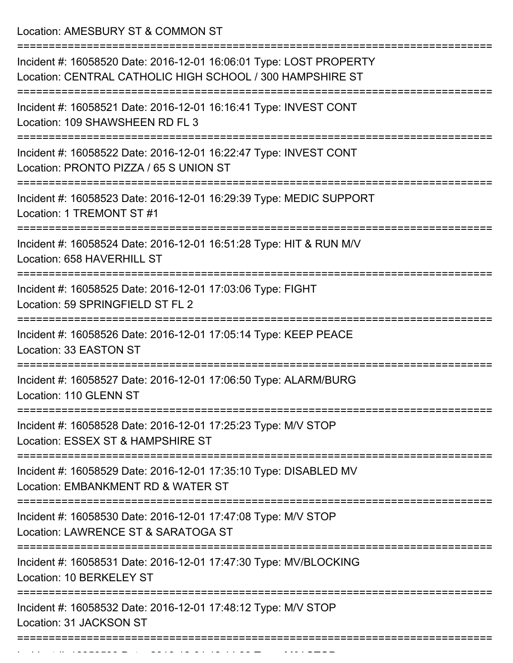Location: AMESBURY ST & COMMON ST

| Incident #: 16058520 Date: 2016-12-01 16:06:01 Type: LOST PROPERTY<br>Location: CENTRAL CATHOLIC HIGH SCHOOL / 300 HAMPSHIRE ST<br>:======================== |
|--------------------------------------------------------------------------------------------------------------------------------------------------------------|
| Incident #: 16058521 Date: 2016-12-01 16:16:41 Type: INVEST CONT<br>Location: 109 SHAWSHEEN RD FL 3                                                          |
| Incident #: 16058522 Date: 2016-12-01 16:22:47 Type: INVEST CONT<br>Location: PRONTO PIZZA / 65 S UNION ST                                                   |
| Incident #: 16058523 Date: 2016-12-01 16:29:39 Type: MEDIC SUPPORT<br>Location: 1 TREMONT ST #1                                                              |
| Incident #: 16058524 Date: 2016-12-01 16:51:28 Type: HIT & RUN M/V<br>Location: 658 HAVERHILL ST                                                             |
| Incident #: 16058525 Date: 2016-12-01 17:03:06 Type: FIGHT<br>Location: 59 SPRINGFIELD ST FL 2                                                               |
| Incident #: 16058526 Date: 2016-12-01 17:05:14 Type: KEEP PEACE<br>Location: 33 EASTON ST                                                                    |
| Incident #: 16058527 Date: 2016-12-01 17:06:50 Type: ALARM/BURG<br>Location: 110 GLENN ST                                                                    |
| Incident #: 16058528 Date: 2016-12-01 17:25:23 Type: M/V STOP<br>Location: ESSEX ST & HAMPSHIRE ST                                                           |
| Incident #: 16058529 Date: 2016-12-01 17:35:10 Type: DISABLED MV<br>Location: EMBANKMENT RD & WATER ST                                                       |
| Incident #: 16058530 Date: 2016-12-01 17:47:08 Type: M/V STOP<br>Location: LAWRENCE ST & SARATOGA ST                                                         |
| Incident #: 16058531 Date: 2016-12-01 17:47:30 Type: MV/BLOCKING<br>Location: 10 BERKELEY ST                                                                 |
| Incident #: 16058532 Date: 2016-12-01 17:48:12 Type: M/V STOP<br>Location: 31 JACKSON ST                                                                     |
|                                                                                                                                                              |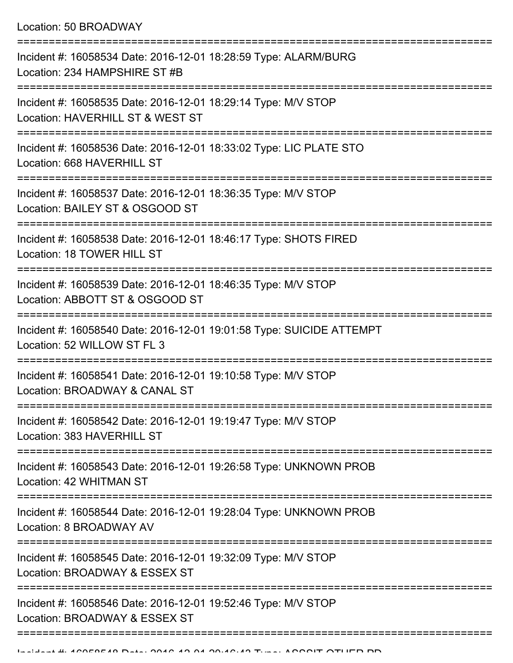Location: 50 BROADWAY

| Incident #: 16058534 Date: 2016-12-01 18:28:59 Type: ALARM/BURG<br>Location: 234 HAMPSHIRE ST #B    |
|-----------------------------------------------------------------------------------------------------|
| Incident #: 16058535 Date: 2016-12-01 18:29:14 Type: M/V STOP<br>Location: HAVERHILL ST & WEST ST   |
| Incident #: 16058536 Date: 2016-12-01 18:33:02 Type: LIC PLATE STO<br>Location: 668 HAVERHILL ST    |
| Incident #: 16058537 Date: 2016-12-01 18:36:35 Type: M/V STOP<br>Location: BAILEY ST & OSGOOD ST    |
| Incident #: 16058538 Date: 2016-12-01 18:46:17 Type: SHOTS FIRED<br>Location: 18 TOWER HILL ST      |
| Incident #: 16058539 Date: 2016-12-01 18:46:35 Type: M/V STOP<br>Location: ABBOTT ST & OSGOOD ST    |
| Incident #: 16058540 Date: 2016-12-01 19:01:58 Type: SUICIDE ATTEMPT<br>Location: 52 WILLOW ST FL 3 |
| Incident #: 16058541 Date: 2016-12-01 19:10:58 Type: M/V STOP<br>Location: BROADWAY & CANAL ST      |
| Incident #: 16058542 Date: 2016-12-01 19:19:47 Type: M/V STOP<br>Location: 383 HAVERHILL ST         |
| Incident #: 16058543 Date: 2016-12-01 19:26:58 Type: UNKNOWN PROB<br>Location: 42 WHITMAN ST        |
| Incident #: 16058544 Date: 2016-12-01 19:28:04 Type: UNKNOWN PROB<br>Location: 8 BROADWAY AV        |
| Incident #: 16058545 Date: 2016-12-01 19:32:09 Type: M/V STOP<br>Location: BROADWAY & ESSEX ST      |
| Incident #: 16058546 Date: 2016-12-01 19:52:46 Type: M/V STOP<br>Location: BROADWAY & ESSEX ST      |
|                                                                                                     |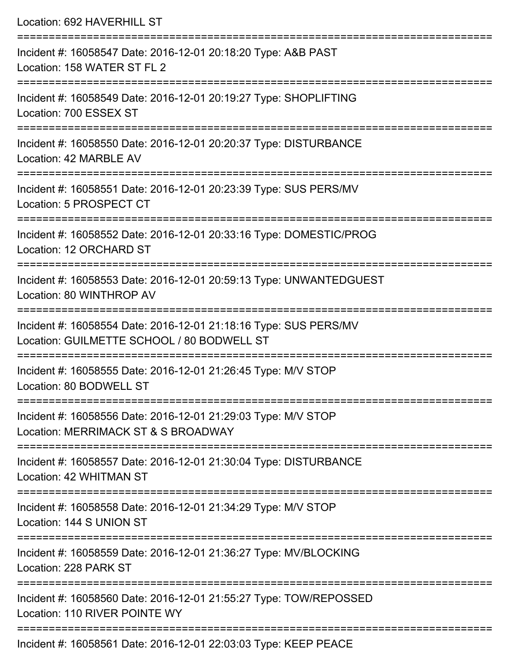| Incident #: 16058547 Date: 2016-12-01 20:18:20 Type: A&B PAST<br>Location: 158 WATER ST FL 2                                    |
|---------------------------------------------------------------------------------------------------------------------------------|
|                                                                                                                                 |
| Incident #: 16058549 Date: 2016-12-01 20:19:27 Type: SHOPLIFTING<br>Location: 700 ESSEX ST                                      |
| Incident #: 16058550 Date: 2016-12-01 20:20:37 Type: DISTURBANCE<br>Location: 42 MARBLE AV<br>================================= |
| Incident #: 16058551 Date: 2016-12-01 20:23:39 Type: SUS PERS/MV<br>Location: 5 PROSPECT CT                                     |
| Incident #: 16058552 Date: 2016-12-01 20:33:16 Type: DOMESTIC/PROG<br>Location: 12 ORCHARD ST                                   |
| Incident #: 16058553 Date: 2016-12-01 20:59:13 Type: UNWANTEDGUEST<br>Location: 80 WINTHROP AV                                  |
| Incident #: 16058554 Date: 2016-12-01 21:18:16 Type: SUS PERS/MV<br>Location: GUILMETTE SCHOOL / 80 BODWELL ST                  |
| Incident #: 16058555 Date: 2016-12-01 21:26:45 Type: M/V STOP<br>Location: 80 BODWELL ST                                        |
| Incident #: 16058556 Date: 2016-12-01 21:29:03 Type: M/V STOP<br>Location: MERRIMACK ST & S BROADWAY                            |
| Incident #: 16058557 Date: 2016-12-01 21:30:04 Type: DISTURBANCE<br>Location: 42 WHITMAN ST                                     |
| Incident #: 16058558 Date: 2016-12-01 21:34:29 Type: M/V STOP<br>Location: 144 S UNION ST                                       |
| Incident #: 16058559 Date: 2016-12-01 21:36:27 Type: MV/BLOCKING<br>Location: 228 PARK ST                                       |
| Incident #: 16058560 Date: 2016-12-01 21:55:27 Type: TOW/REPOSSED<br>Location: 110 RIVER POINTE WY                              |

Incident #: 16058561 Date: 2016-12-01 22:03:03 Type: KEEP PEACE